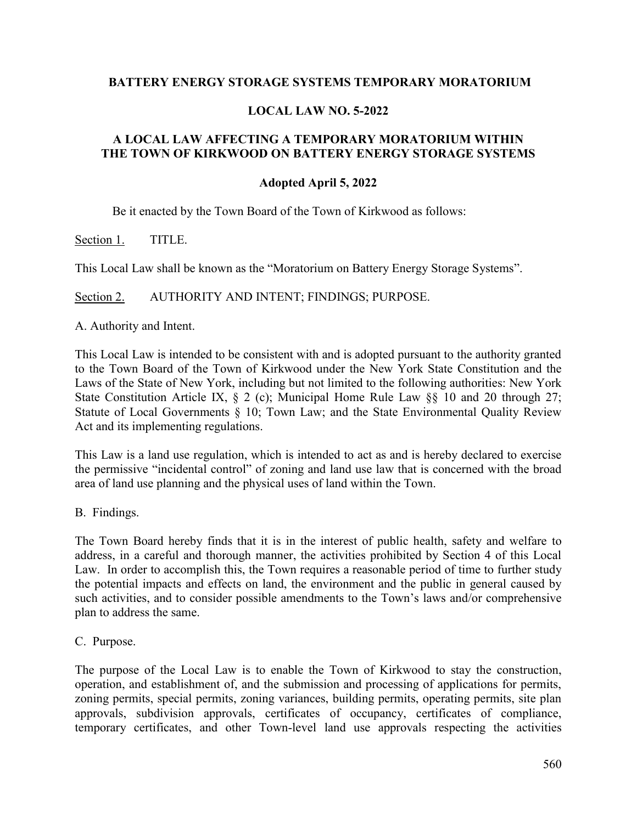## **BATTERY ENERGY STORAGE SYSTEMS TEMPORARY MORATORIUM**

## **LOCAL LAW NO. 5-2022**

# **A LOCAL LAW AFFECTING A TEMPORARY MORATORIUM WITHIN THE TOWN OF KIRKWOOD ON BATTERY ENERGY STORAGE SYSTEMS**

## **Adopted April 5, 2022**

Be it enacted by the Town Board of the Town of Kirkwood as follows:

Section 1. TITLE.

This Local Law shall be known as the "Moratorium on Battery Energy Storage Systems".

Section 2. AUTHORITY AND INTENT; FINDINGS; PURPOSE.

A. Authority and Intent.

This Local Law is intended to be consistent with and is adopted pursuant to the authority granted to the Town Board of the Town of Kirkwood under the New York State Constitution and the Laws of the State of New York, including but not limited to the following authorities: New York State Constitution Article IX, § 2 (c); Municipal Home Rule Law § § 10 and 20 through 27; Statute of Local Governments § 10; Town Law; and the State Environmental Quality Review Act and its implementing regulations.

This Law is a land use regulation, which is intended to act as and is hereby declared to exercise the permissive "incidental control" of zoning and land use law that is concerned with the broad area of land use planning and the physical uses of land within the Town.

B. Findings.

The Town Board hereby finds that it is in the interest of public health, safety and welfare to address, in a careful and thorough manner, the activities prohibited by Section 4 of this Local Law. In order to accomplish this, the Town requires a reasonable period of time to further study the potential impacts and effects on land, the environment and the public in general caused by such activities, and to consider possible amendments to the Town's laws and/or comprehensive plan to address the same.

C. Purpose.

The purpose of the Local Law is to enable the Town of Kirkwood to stay the construction, operation, and establishment of, and the submission and processing of applications for permits, zoning permits, special permits, zoning variances, building permits, operating permits, site plan approvals, subdivision approvals, certificates of occupancy, certificates of compliance, temporary certificates, and other Town-level land use approvals respecting the activities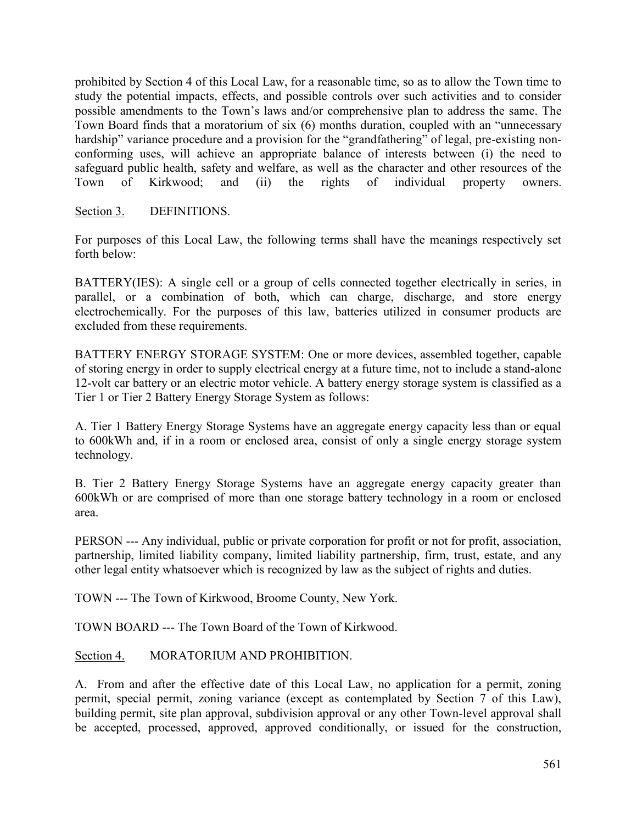prohibited by Section 4 of this Local Law, for a reasonable time, so as to allow the Town time to study the potential impacts, effects, and possible controls over such activities and to consider possible amendments to the Town's laws and/or comprehensive plan to address the same. The Town Board finds that a moratorium of six (6) months duration, coupled with an "unnecessary hardship" variance procedure and a provision for the "grandfathering" of legal, pre-existing nonconforming uses, will achieve an appropriate balance of interests between (i) the need to safeguard public health, safety and welfare, as well as the character and other resources of the Town of Kirkwood; and (ii) the rights of individual property owners.

Section 3. DEFINITIONS.

For purposes of this Local Law, the following terms shall have the meanings respectively set forth below:

BATTERY(IES): A single cell or a group of cells connected together electrically in series, in parallel, or a combination of both, which can charge, discharge, and store energy electrochemically. For the purposes of this law, batteries utilized in consumer products are excluded from these requirements.

BATTERY ENERGY STORAGE SYSTEM: One or more devices, assembled together, capable of storing energy in order to supply electrical energy at a future time, not to include a stand-alone 12-volt car battery or an electric motor vehicle. A battery energy storage system is classified as a Tier 1 or Tier 2 Battery Energy Storage System as follows:

A. Tier 1 Battery Energy Storage Systems have an aggregate energy capacity less than or equal to 600kWh and, if in a room or enclosed area, consist of only a single energy storage system technology.

B. Tier 2 Battery Energy Storage Systems have an aggregate energy capacity greater than 600kWh or are comprised of more than one storage battery technology in a room or enclosed area.

PERSON --- Any individual, public or private corporation for profit or not for profit, association, partnership, limited liability company, limited liability partnership, firm, trust, estate, and any other legal entity whatsoever which is recognized by law as the subject of rights and duties.

TOWN --- The Town of Kirkwood, Broome County, New York.

TOWN BOARD --- The Town Board of the Town of Kirkwood.

## Section 4. MORATORIUM AND PROHIBITION.

A. From and after the effective date of this Local Law, no application for a permit, zoning permit, special permit, zoning variance (except as contemplated by Section 7 of this Law), building permit, site plan approval, subdivision approval or any other Town-level approval shall be accepted, processed, approved, approved conditionally, or issued for the construction,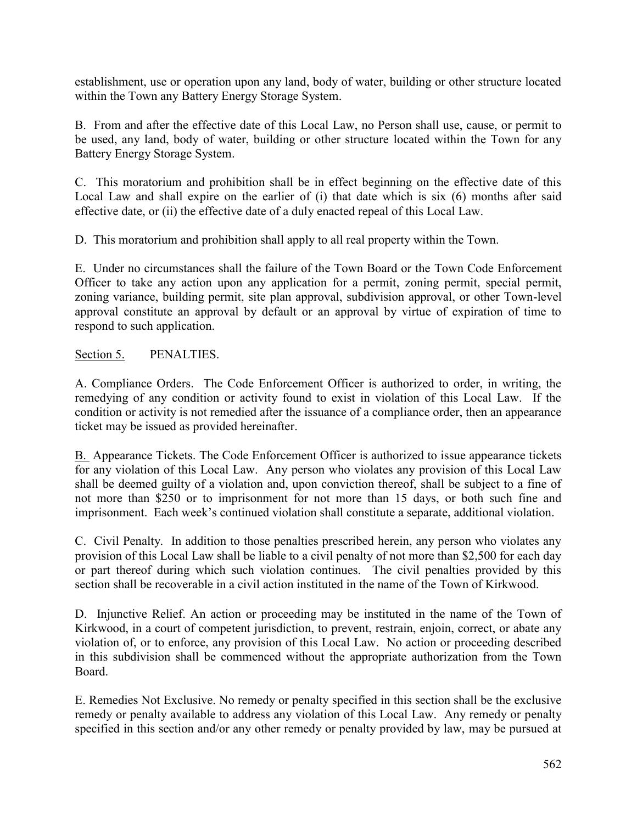establishment, use or operation upon any land, body of water, building or other structure located within the Town any Battery Energy Storage System.

B. From and after the effective date of this Local Law, no Person shall use, cause, or permit to be used, any land, body of water, building or other structure located within the Town for any Battery Energy Storage System.

C. This moratorium and prohibition shall be in effect beginning on the effective date of this Local Law and shall expire on the earlier of (i) that date which is six (6) months after said effective date, or (ii) the effective date of a duly enacted repeal of this Local Law.

D. This moratorium and prohibition shall apply to all real property within the Town.

E. Under no circumstances shall the failure of the Town Board or the Town Code Enforcement Officer to take any action upon any application for a permit, zoning permit, special permit, zoning variance, building permit, site plan approval, subdivision approval, or other Town-level approval constitute an approval by default or an approval by virtue of expiration of time to respond to such application.

# Section 5. PENALTIES.

A. Compliance Orders. The Code Enforcement Officer is authorized to order, in writing, the remedying of any condition or activity found to exist in violation of this Local Law. If the condition or activity is not remedied after the issuance of a compliance order, then an appearance ticket may be issued as provided hereinafter.

[B.](http://ecode360.com/?custId=MA2200&guid=9286251&j=23) Appearance Tickets. The Code Enforcement Officer is authorized to issue appearance tickets for any violation of this Local Law. Any person who violates any provision of this Local Law shall be deemed guilty of a violation and, upon conviction thereof, shall be subject to a fine of not more than \$250 or to imprisonment for not more than 15 days, or both such fine and imprisonment. Each week's continued violation shall constitute a separate, additional violation.

C. Civil Penalty. In addition to those penalties prescribed herein, any person who violates any provision of this Local Law shall be liable to a civil penalty of not more than \$2,500 for each day or part thereof during which such violation continues. The civil penalties provided by this section shall be recoverable in a civil action instituted in the name of the Town of Kirkwood.

D. Injunctive Relief. An action or proceeding may be instituted in the name of the Town of Kirkwood, in a court of competent jurisdiction, to prevent, restrain, enjoin, correct, or abate any violation of, or to enforce, any provision of this Local Law. No action or proceeding described in this subdivision shall be commenced without the appropriate authorization from the Town Board.

E. Remedies Not Exclusive. No remedy or penalty specified in this section shall be the exclusive remedy or penalty available to address any violation of this Local Law. Any remedy or penalty specified in this section and/or any other remedy or penalty provided by law, may be pursued at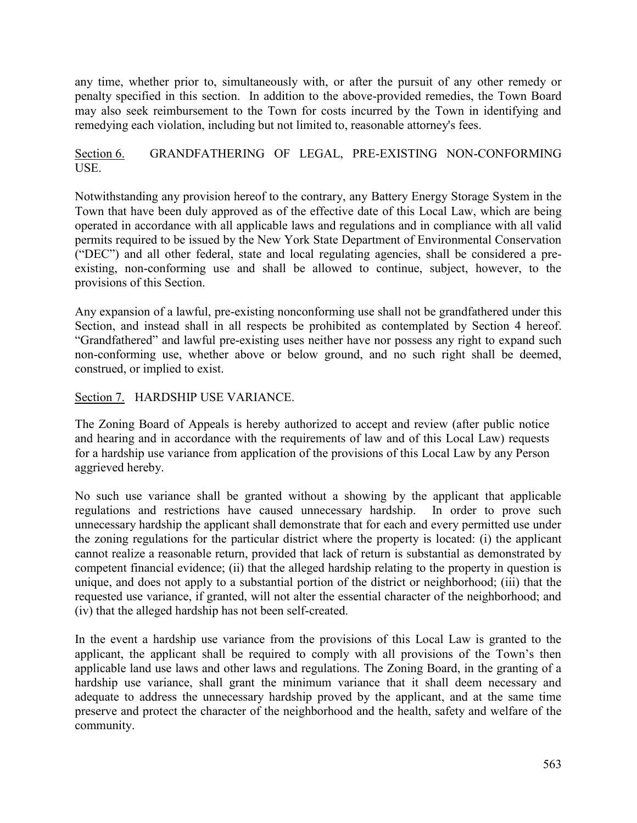any time, whether prior to, simultaneously with, or after the pursuit of any other remedy or penalty specified in this section. In addition to the above-provided remedies, the Town Board may also seek reimbursement to the Town for costs incurred by the Town in identifying and remedying each violation, including but not limited to, reasonable attorney's fees.

# Section 6. GRANDFATHERING OF LEGAL, PRE-EXISTING NON-CONFORMING USE.

Notwithstanding any provision hereof to the contrary, any Battery Energy Storage System in the Town that have been duly approved as of the effective date of this Local Law, which are being operated in accordance with all applicable laws and regulations and in compliance with all valid permits required to be issued by the New York State Department of Environmental Conservation ("DEC") and all other federal, state and local regulating agencies, shall be considered a preexisting, non-conforming use and shall be allowed to continue, subject, however, to the provisions of this Section.

Any expansion of a lawful, pre-existing nonconforming use shall not be grandfathered under this Section, and instead shall in all respects be prohibited as contemplated by Section 4 hereof. "Grandfathered" and lawful pre-existing uses neither have nor possess any right to expand such non-conforming use, whether above or below ground, and no such right shall be deemed, construed, or implied to exist.

# Section 7. HARDSHIP USE VARIANCE.

The Zoning Board of Appeals is hereby authorized to accept and review (after public notice and hearing and in accordance with the requirements of law and of this Local Law) requests for a hardship use variance from application of the provisions of this Local Law by any Person aggrieved hereby.

No such use variance shall be granted without a showing by the applicant that applicable regulations and restrictions have caused unnecessary hardship. In order to prove such unnecessary hardship the applicant shall demonstrate that for each and every permitted use under the zoning regulations for the particular district where the property is located: (i) the applicant cannot realize a reasonable return, provided that lack of return is substantial as demonstrated by competent financial evidence; (ii) that the alleged hardship relating to the property in question is unique, and does not apply to a substantial portion of the district or neighborhood; (iii) that the requested use variance, if granted, will not alter the essential character of the neighborhood; and (iv) that the alleged hardship has not been self-created.

In the event a hardship use variance from the provisions of this Local Law is granted to the applicant, the applicant shall be required to comply with all provisions of the Town's then applicable land use laws and other laws and regulations. The Zoning Board, in the granting of a hardship use variance, shall grant the minimum variance that it shall deem necessary and adequate to address the unnecessary hardship proved by the applicant, and at the same time preserve and protect the character of the neighborhood and the health, safety and welfare of the community.